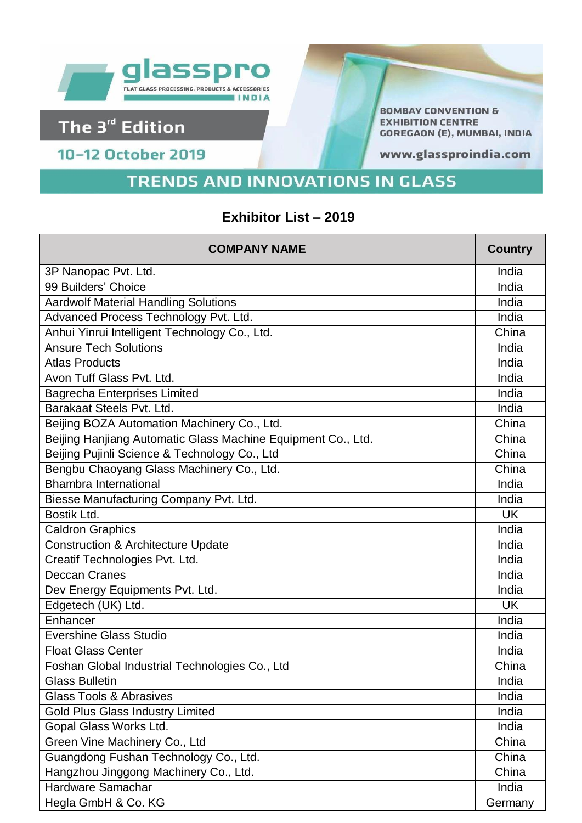

## The 3<sup>rd</sup> Edition

10-12 October 2019

**BOMBAY CONVENTION & EXHIBITION CENTRE GOREGAON (E), MUMBAI, INDIA** 

www.glassproindia.com

## **TRENDS AND INNOVATIONS IN GLASS**

## Exhibitor List - 2019

| <b>COMPANY NAME</b>                                          | <b>Country</b> |
|--------------------------------------------------------------|----------------|
| 3P Nanopac Pvt. Ltd.                                         | India          |
| 99 Builders' Choice                                          | India          |
| <b>Aardwolf Material Handling Solutions</b>                  | India          |
| Advanced Process Technology Pvt. Ltd.                        | India          |
| Anhui Yinrui Intelligent Technology Co., Ltd.                | China          |
| <b>Ansure Tech Solutions</b>                                 | India          |
| <b>Atlas Products</b>                                        | India          |
| Avon Tuff Glass Pvt. Ltd.                                    | India          |
| <b>Bagrecha Enterprises Limited</b>                          | India          |
| Barakaat Steels Pvt. Ltd.                                    | India          |
| Beijing BOZA Automation Machinery Co., Ltd.                  | China          |
| Beijing Hanjiang Automatic Glass Machine Equipment Co., Ltd. | China          |
| Beijing Pujinli Science & Technology Co., Ltd                | China          |
| Bengbu Chaoyang Glass Machinery Co., Ltd.                    | China          |
| <b>Bhambra International</b>                                 | India          |
| Biesse Manufacturing Company Pvt. Ltd.                       | India          |
| Bostik Ltd.                                                  | <b>UK</b>      |
| <b>Caldron Graphics</b>                                      | India          |
| <b>Construction &amp; Architecture Update</b>                | India          |
| Creatif Technologies Pvt. Ltd.                               | India          |
| Deccan Cranes                                                | India          |
| Dev Energy Equipments Pvt. Ltd.                              | India          |
| Edgetech (UK) Ltd.                                           | <b>UK</b>      |
| Enhancer                                                     | India          |
| <b>Evershine Glass Studio</b>                                | India          |
| <b>Float Glass Center</b>                                    | India          |
| Foshan Global Industrial Technologies Co., Ltd               | China          |
| <b>Glass Bulletin</b>                                        | India          |
| <b>Glass Tools &amp; Abrasives</b>                           | India          |
| <b>Gold Plus Glass Industry Limited</b>                      | India          |
| Gopal Glass Works Ltd.                                       | India          |
| Green Vine Machinery Co., Ltd                                | China          |
| Guangdong Fushan Technology Co., Ltd.                        | China          |
| Hangzhou Jinggong Machinery Co., Ltd.                        | China          |
| Hardware Samachar                                            | India          |
| Hegla GmbH & Co. KG                                          | Germany        |